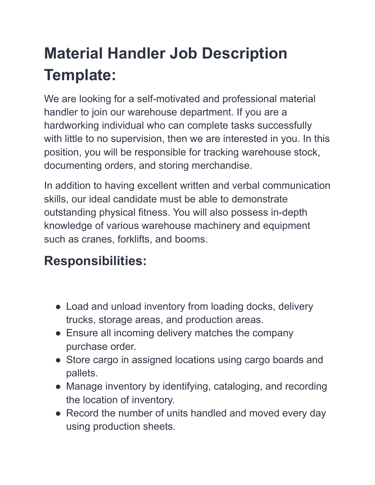## **Material Handler Job Description Template:**

We are looking for a self-motivated and professional material handler to join our warehouse department. If you are a hardworking individual who can complete tasks successfully with little to no supervision, then we are interested in you. In this position, you will be responsible for tracking warehouse stock, documenting orders, and storing merchandise.

In addition to having excellent written and verbal communication skills, our ideal candidate must be able to demonstrate outstanding physical fitness. You will also possess in-depth knowledge of various warehouse machinery and equipment such as cranes, forklifts, and booms.

## **Responsibilities:**

- Load and unload inventory from loading docks, delivery trucks, storage areas, and production areas.
- Ensure all incoming delivery matches the company purchase order.
- Store cargo in assigned locations using cargo boards and pallets.
- Manage inventory by identifying, cataloging, and recording the location of inventory.
- Record the number of units handled and moved every day using production sheets.